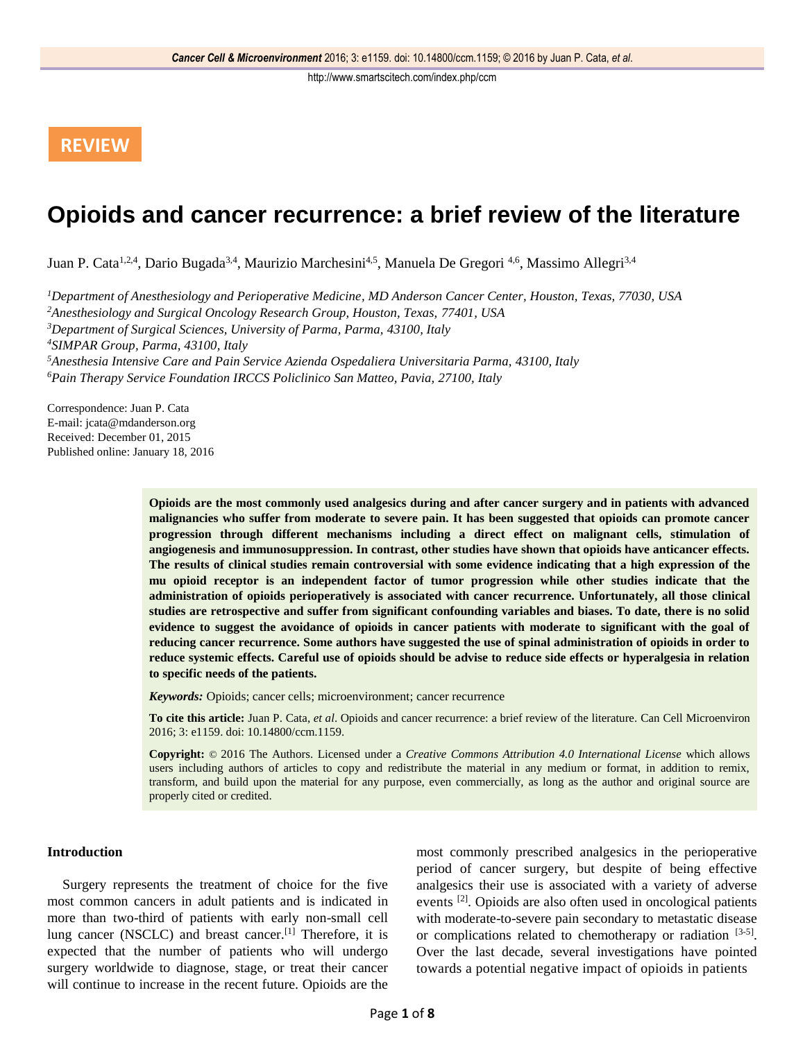# **REVIEW**

# **Opioids and cancer recurrence: a brief review of the literature**

Juan P. Cata<sup>1,2,4</sup>, Dario Bugada<sup>3,4</sup>, Maurizio Marchesini<sup>4,5</sup>, Manuela De Gregori <sup>4,6</sup>, Massimo Allegri<sup>3,4</sup>

*Department of Anesthesiology and Perioperative Medicine, MD Anderson Cancer Center, Houston, Texas, 77030, USA Anesthesiology and Surgical Oncology Research Group, Houston, Texas, 77401, USA Department of Surgical Sciences, University of Parma, Parma, 43100, Italy SIMPAR Group, Parma, 43100, Italy Anesthesia Intensive Care and Pain Service Azienda Ospedaliera Universitaria Parma, 43100, Italy Pain Therapy Service Foundation IRCCS Policlinico San Matteo, Pavia, 27100, Italy*

Correspondence: Juan P. Cata E-mail: jcata@mdanderson.org Received: December 01, 2015 Published online: January 18, 2016

> **Opioids are the most commonly used analgesics during and after cancer surgery and in patients with advanced malignancies who suffer from moderate to severe pain. It has been suggested that opioids can promote cancer progression through different mechanisms including a direct effect on malignant cells, stimulation of angiogenesis and immunosuppression. In contrast, other studies have shown that opioids have anticancer effects. The results of clinical studies remain controversial with some evidence indicating that a high expression of the mu opioid receptor is an independent factor of tumor progression while other studies indicate that the administration of opioids perioperatively is associated with cancer recurrence. Unfortunately, all those clinical studies are retrospective and suffer from significant confounding variables and biases. To date, there is no solid evidence to suggest the avoidance of opioids in cancer patients with moderate to significant with the goal of reducing cancer recurrence. Some authors have suggested the use of spinal administration of opioids in order to reduce systemic effects. Careful use of opioids should be advise to reduce side effects or hyperalgesia in relation to specific needs of the patients.**

*Keywords:* Opioids; cancer cells; microenvironment; cancer recurrence

**To cite this article:** Juan P. Cata, *et al*. Opioids and cancer recurrence: a brief review of the literature. Can Cell Microenviron 2016; 3: e1159. doi: 10.14800/ccm.1159.

**Copyright:** © 2016 The Authors. Licensed under a *Creative Commons Attribution 4.0 International License* which allows users including authors of articles to copy and redistribute the material in any medium or format, in addition to remix, transform, and build upon the material for any purpose, even commercially, as long as the author and original source are properly cited or credited.

# **Introduction**

Surgery represents the treatment of choice for the five most common cancers in adult patients and is indicated in more than two-third of patients with early non-small cell lung cancer (NSCLC) and breast cancer.<sup>[1]</sup> Therefore, it is expected that the number of patients who will undergo surgery worldwide to diagnose, stage, or treat their cancer will continue to increase in the recent future. Opioids are the

most commonly prescribed analgesics in the perioperative period of cancer surgery, but despite of being effective analgesics their use is associated with a variety of adverse events <sup>[2]</sup>. Opioids are also often used in oncological patients with moderate-to-severe pain secondary to metastatic disease or complications related to chemotherapy or radiation [3-5]. Over the last decade, several investigations have pointed towards a potential negative impact of opioids in patients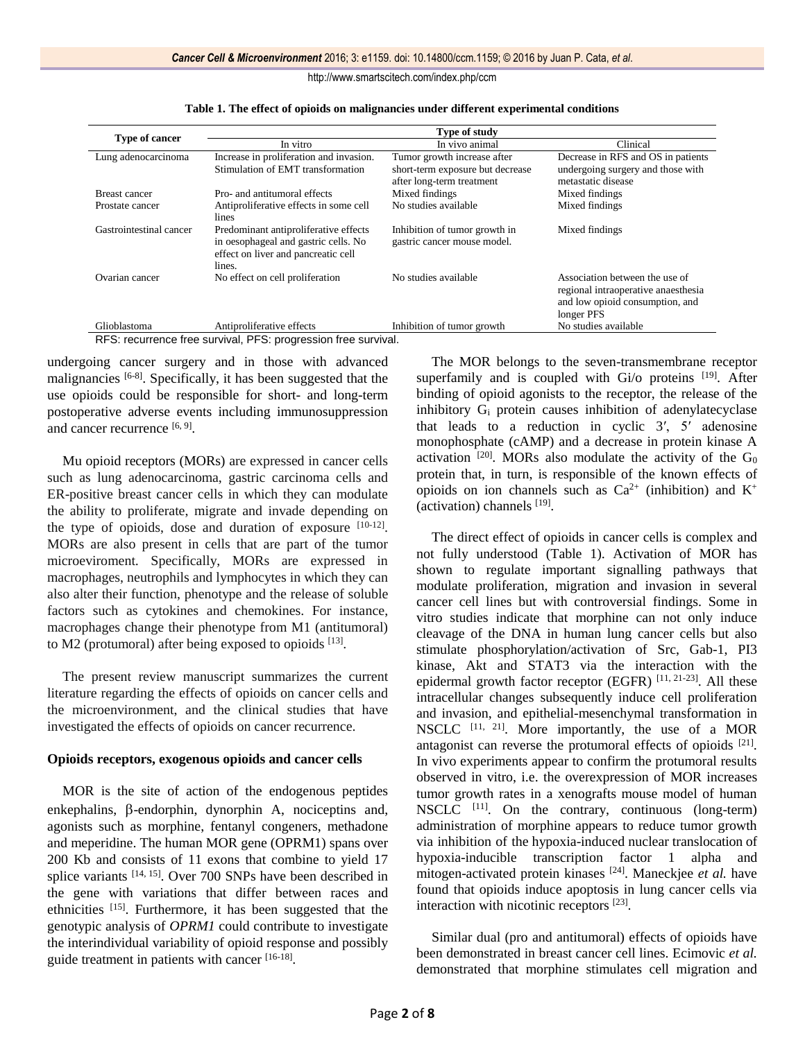| Type of cancer          | Type of study                                                                                                                  |                                                                                              |                                                                                                                        |
|-------------------------|--------------------------------------------------------------------------------------------------------------------------------|----------------------------------------------------------------------------------------------|------------------------------------------------------------------------------------------------------------------------|
|                         | In vitro                                                                                                                       | In vivo animal                                                                               | Clinical                                                                                                               |
| Lung adenocarcinoma     | Increase in proliferation and invasion.<br>Stimulation of EMT transformation                                                   | Tumor growth increase after<br>short-term exposure but decrease<br>after long-term treatment | Decrease in RFS and OS in patients<br>undergoing surgery and those with<br>metastatic disease                          |
| <b>Breast cancer</b>    | Pro- and antitumoral effects                                                                                                   | Mixed findings                                                                               | Mixed findings                                                                                                         |
| Prostate cancer         | Antiproliferative effects in some cell<br>lines                                                                                | No studies available                                                                         | Mixed findings                                                                                                         |
| Gastrointestinal cancer | Predominant antiproliferative effects<br>in oesophageal and gastric cells. No<br>effect on liver and pancreatic cell<br>lines. | Inhibition of tumor growth in<br>gastric cancer mouse model.                                 | Mixed findings                                                                                                         |
| Ovarian cancer          | No effect on cell proliferation                                                                                                | No studies available                                                                         | Association between the use of<br>regional intraoperative anaesthesia<br>and low opioid consumption, and<br>longer PFS |
| Glioblastoma            | Antiproliferative effects                                                                                                      | Inhibition of tumor growth                                                                   | No studies available                                                                                                   |

**Table 1. The effect of opioids on malignancies under different experimental conditions**

undergoing cancer surgery and in those with advanced malignancies [6-8]. Specifically, it has been suggested that the use opioids could be responsible for short- and long-term postoperative adverse events including immunosuppression and cancer recurrence [6, 9].

Mu opioid receptors (MORs) are expressed in cancer cells such as lung adenocarcinoma, gastric carcinoma cells and ER-positive breast cancer cells in which they can modulate the ability to proliferate, migrate and invade depending on the type of opioids, dose and duration of exposure  $[10-12]$ . MORs are also present in cells that are part of the tumor microeviroment. Specifically, MORs are expressed in macrophages, neutrophils and lymphocytes in which they can also alter their function, phenotype and the release of soluble factors such as cytokines and chemokines. For instance, macrophages change their phenotype from M1 (antitumoral) to M2 (protumoral) after being exposed to opioids [13].

The present review manuscript summarizes the current literature regarding the effects of opioids on cancer cells and the microenvironment, and the clinical studies that have investigated the effects of opioids on cancer recurrence.

# **Opioids receptors, exogenous opioids and cancer cells**

MOR is the site of action of the endogenous peptides  $enkephalins, \beta-endorphism, dynorphin A, nociceptins and,$ agonists such as morphine, fentanyl congeners, methadone and meperidine. The human MOR gene (OPRM1) spans over 200 Kb and consists of 11 exons that combine to yield 17 splice variants [14, 15]. Over 700 SNPs have been described in the gene with variations that differ between races and ethnicities [15]. Furthermore, it has been suggested that the genotypic analysis of *OPRM1* could contribute to investigate the interindividual variability of opioid response and possibly guide treatment in patients with cancer [16-18].

The MOR belongs to the seven-transmembrane receptor superfamily and is coupled with  $Gi$  proteins  $[19]$ . After binding of opioid agonists to the receptor, the release of the inhibitory G<sup>i</sup> protein causes inhibition of adenylatecyclase that leads to a reduction in cyclic 3′, 5′ adenosine monophosphate (cAMP) and a decrease in protein kinase A activation  $[20]$ . MORs also modulate the activity of the  $G_0$ protein that, in turn, is responsible of the known effects of opioids on ion channels such as  $Ca^{2+}$  (inhibition) and  $K^+$ (activation) channels [19] .

The direct effect of opioids in cancer cells is complex and not fully understood (Table 1). Activation of MOR has shown to regulate important signalling pathways that modulate proliferation, migration and invasion in several cancer cell lines but with controversial findings. Some in vitro studies indicate that morphine can not only induce cleavage of the DNA in human lung cancer cells but also stimulate phosphorylation/activation of Src, Gab-1, PI3 kinase, Akt and STAT3 via the interaction with the epidermal growth factor receptor (EGFR) [11, 21-23]. All these intracellular changes subsequently induce cell proliferation and invasion, and epithelial-mesenchymal transformation in NSCLC [11, 21]. More importantly, the use of a MOR antagonist can reverse the protumoral effects of opioids [21]. In vivo experiments appear to confirm the protumoral results observed in vitro, i.e. the overexpression of MOR increases tumor growth rates in a xenografts mouse model of human NSCLC [11]. On the contrary, continuous (long-term) administration of morphine appears to reduce tumor growth via inhibition of the hypoxia-induced nuclear translocation of hypoxia-inducible transcription factor 1 alpha and mitogen-activated protein kinases [24]. Maneckjee *et al.* have found that opioids induce apoptosis in lung cancer cells via interaction with nicotinic receptors [23] .

Similar dual (pro and antitumoral) effects of opioids have been demonstrated in breast cancer cell lines. Ecimovic *et al.* demonstrated that morphine stimulates cell migration and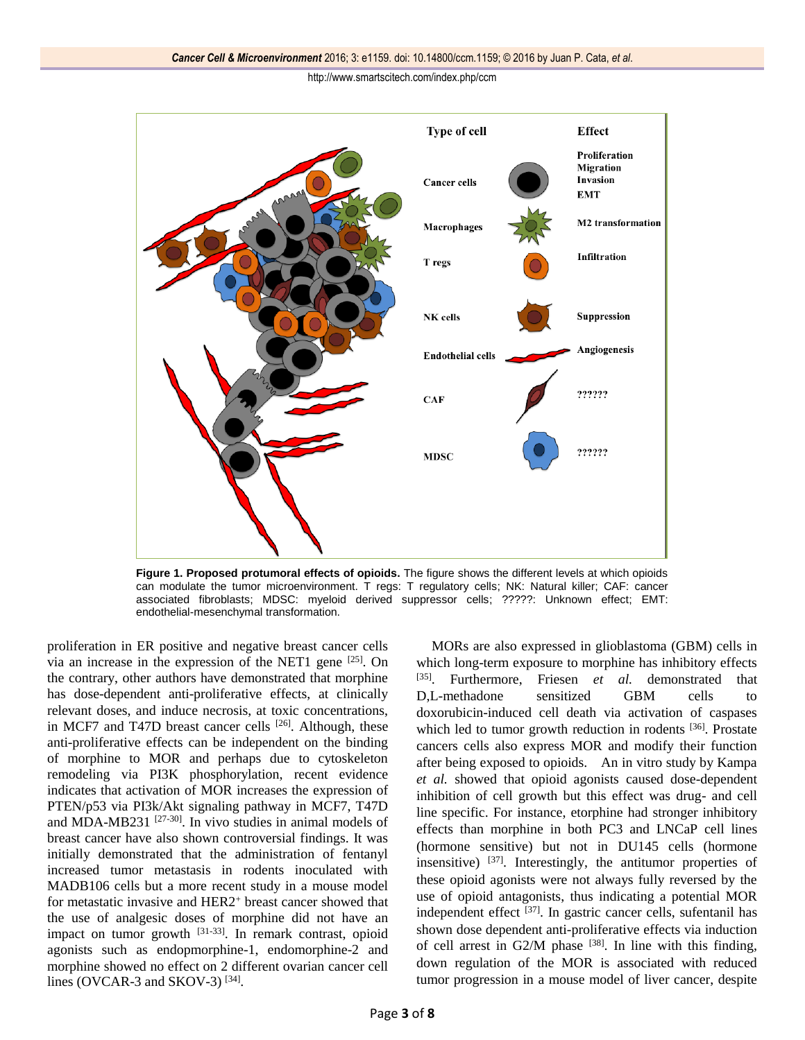

**Figure 1. Proposed protumoral effects of opioids.** The figure shows the different levels at which opioids can modulate the tumor microenvironment. T regs: T regulatory cells; NK: Natural killer; CAF: cancer associated fibroblasts; MDSC: myeloid derived suppressor cells; ?????: Unknown effect; EMT: endothelial-mesenchymal transformation.

proliferation in ER positive and negative breast cancer cells via an increase in the expression of the NET1 gene  $[25]$ . On the contrary, other authors have demonstrated that morphine has dose-dependent anti-proliferative effects, at clinically relevant doses, and induce necrosis, at toxic concentrations, in MCF7 and T47D breast cancer cells [26]. Although, these anti-proliferative effects can be independent on the binding of morphine to MOR and perhaps due to cytoskeleton remodeling via PI3K phosphorylation, recent evidence indicates that activation of MOR increases the expression of PTEN/p53 via PI3k/Akt signaling pathway in MCF7, T47D and MDA-MB231 [27-30]. In vivo studies in animal models of breast cancer have also shown controversial findings. It was initially demonstrated that the administration of fentanyl increased tumor metastasis in rodents inoculated with MADB106 cells but a more recent study in a mouse model for metastatic invasive and HER2<sup>+</sup> breast cancer showed that the use of analgesic doses of morphine did not have an impact on tumor growth  $[31-33]$ . In remark contrast, opioid agonists such as endopmorphine-1, endomorphine-2 and morphine showed no effect on 2 different ovarian cancer cell lines (OVCAR-3 and SKOV-3) $^{[34]}$ .

MORs are also expressed in glioblastoma (GBM) cells in which long-term exposure to morphine has inhibitory effects [35]. Furthermore, Friesen *et al.* demonstrated that D,L-methadone sensitized GBM cells to doxorubicin-induced cell death via activation of caspases which led to tumor growth reduction in rodents [36]. Prostate cancers cells also express MOR and modify their function after being exposed to opioids. An in vitro study by Kampa *et al.* showed that opioid agonists caused dose-dependent inhibition of cell growth but this effect was drug- and cell line specific. For instance, etorphine had stronger inhibitory effects than morphine in both PC3 and LNCaP cell lines (hormone sensitive) but not in DU145 cells (hormone insensitive)  $[37]$ . Interestingly, the antitumor properties of these opioid agonists were not always fully reversed by the use of opioid antagonists, thus indicating a potential MOR independent effect [37]. In gastric cancer cells, sufentanil has shown dose dependent anti-proliferative effects via induction of cell arrest in  $G2/M$  phase  $[38]$ . In line with this finding, down regulation of the MOR is associated with reduced tumor progression in a mouse model of liver cancer, despite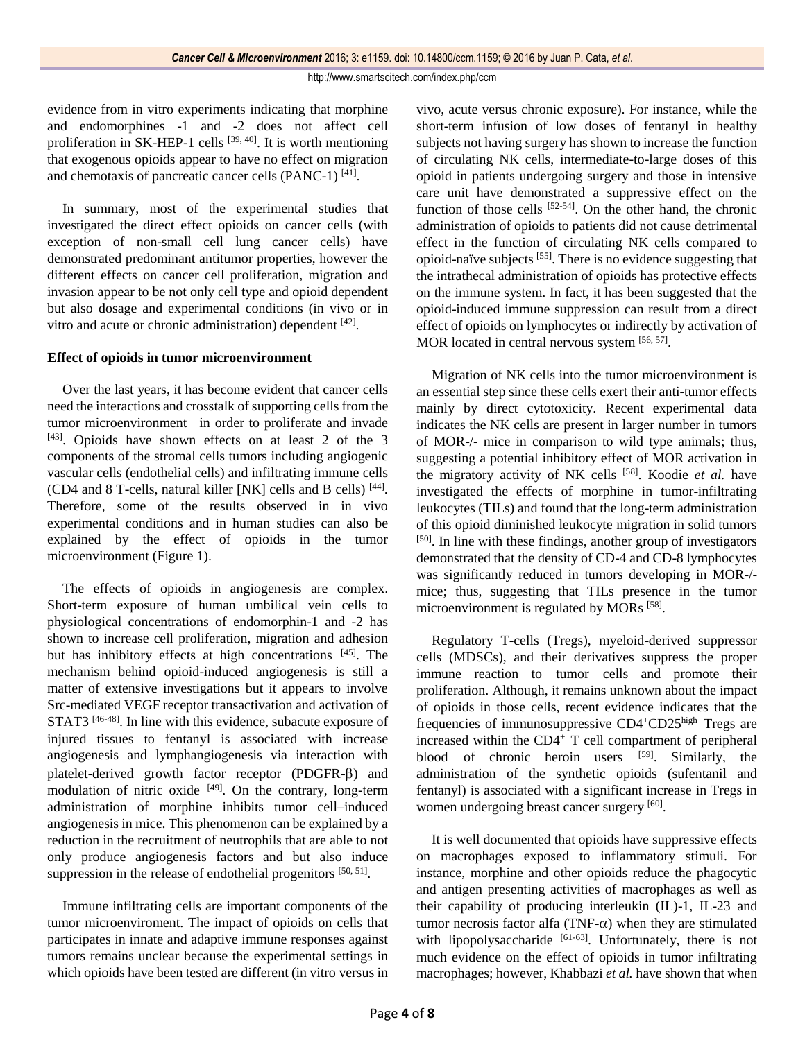evidence from in vitro experiments indicating that morphine and endomorphines -1 and -2 does not affect cell proliferation in SK-HEP-1 cells [39, 40]. It is worth mentioning that exogenous opioids appear to have no effect on migration and chemotaxis of pancreatic cancer cells (PANC-1)<sup>[41]</sup>.

In summary, most of the experimental studies that investigated the direct effect opioids on cancer cells (with exception of non-small cell lung cancer cells) have demonstrated predominant antitumor properties, however the different effects on cancer cell proliferation, migration and invasion appear to be not only cell type and opioid dependent but also dosage and experimental conditions (in vivo or in vitro and acute or chronic administration) dependent [42].

# **Effect of opioids in tumor microenvironment**

Over the last years, it has become evident that cancer cells need the interactions and crosstalk of supporting cells from the tumor microenvironment in order to proliferate and invade  $[43]$ . Opioids have shown effects on at least 2 of the 3 components of the stromal cells tumors including angiogenic vascular cells (endothelial cells) and infiltrating immune cells (CD4 and 8 T-cells, natural killer [NK] cells and B cells) [44]. Therefore, some of the results observed in in vivo experimental conditions and in human studies can also be explained by the effect of opioids in the tumor microenvironment (Figure 1).

The effects of opioids in angiogenesis are complex. Short-term exposure of human umbilical vein cells to physiological concentrations of endomorphin-1 and -2 has shown to increase cell proliferation, migration and adhesion but has inhibitory effects at high concentrations [45]. The mechanism behind opioid-induced angiogenesis is still a matter of extensive investigations but it appears to involve Src-mediated VEGF receptor transactivation and activation of STAT3<sup>[46-48]</sup>. In line with this evidence, subacute exposure of injured tissues to fentanyl is associated with increase angiogenesis and lymphangiogenesis via interaction with platelet-derived growth factor receptor  $(PDGFR-\beta)$  and modulation of nitric oxide  $[49]$ . On the contrary, long-term administration of morphine inhibits tumor cell–induced angiogenesis in mice. This phenomenon can be explained by a reduction in the recruitment of neutrophils that are able to not only produce angiogenesis factors and but also induce suppression in the release of endothelial progenitors  $[50, 51]$ .

Immune infiltrating cells are important components of the tumor microenviroment. The impact of opioids on cells that participates in innate and adaptive immune responses against tumors remains unclear because the experimental settings in which opioids have been tested are different (in vitro versus in vivo, acute versus chronic exposure). For instance, while the short-term infusion of low doses of fentanyl in healthy subjects not having surgery has shown to increase the function of circulating NK cells, intermediate-to-large doses of this opioid in patients undergoing surgery and those in intensive care unit have demonstrated a suppressive effect on the function of those cells [52-54]. On the other hand, the chronic administration of opioids to patients did not cause detrimental effect in the function of circulating NK cells compared to opioid-naïve subjects [55]. There is no evidence suggesting that the intrathecal administration of opioids has protective effects on the immune system. In fact, it has been suggested that the opioid-induced immune suppression can result from a direct effect of opioids on lymphocytes or indirectly by activation of MOR located in central nervous system [56, 57].

Migration of NK cells into the tumor microenvironment is an essential step since these cells exert their anti-tumor effects mainly by direct cytotoxicity. Recent experimental data indicates the NK cells are present in larger number in tumors of MOR-/- mice in comparison to wild type animals; thus, suggesting a potential inhibitory effect of MOR activation in the migratory activity of NK cells [58]. Koodie *et al.* have investigated the effects of morphine in tumor-infiltrating leukocytes (TILs) and found that the long-term administration of this opioid diminished leukocyte migration in solid tumors [50]. In line with these findings, another group of investigators demonstrated that the density of CD-4 and CD-8 lymphocytes was significantly reduced in tumors developing in MOR-/ mice; thus, suggesting that TILs presence in the tumor microenvironment is regulated by MORs<sup>[58]</sup>.

Regulatory T-cells (Tregs), myeloid-derived suppressor cells (MDSCs), and their derivatives suppress the proper immune reaction to tumor cells and promote their proliferation. Although, it remains unknown about the impact of opioids in those cells, recent evidence indicates that the frequencies of immunosuppressive CD4<sup>+</sup>CD25high Tregs are increased within the CD4<sup>+</sup> T cell compartment of peripheral blood of chronic heroin users <sup>[59]</sup>. Similarly, the administration of the synthetic opioids (sufentanil and fentanyl) is associated with a significant increase in Tregs in women undergoing breast cancer surgery [60].

It is well documented that opioids have suppressive effects on macrophages exposed to inflammatory stimuli. For instance, morphine and other opioids reduce the phagocytic and antigen presenting activities of macrophages as well as their capability of producing interleukin (IL)-1, IL-23 and tumor necrosis factor alfa (TNF- $\alpha$ ) when they are stimulated with lipopolysaccharide [61-63]. Unfortunately, there is not much evidence on the effect of opioids in tumor infiltrating macrophages; however, Khabbazi *et al.* have shown that when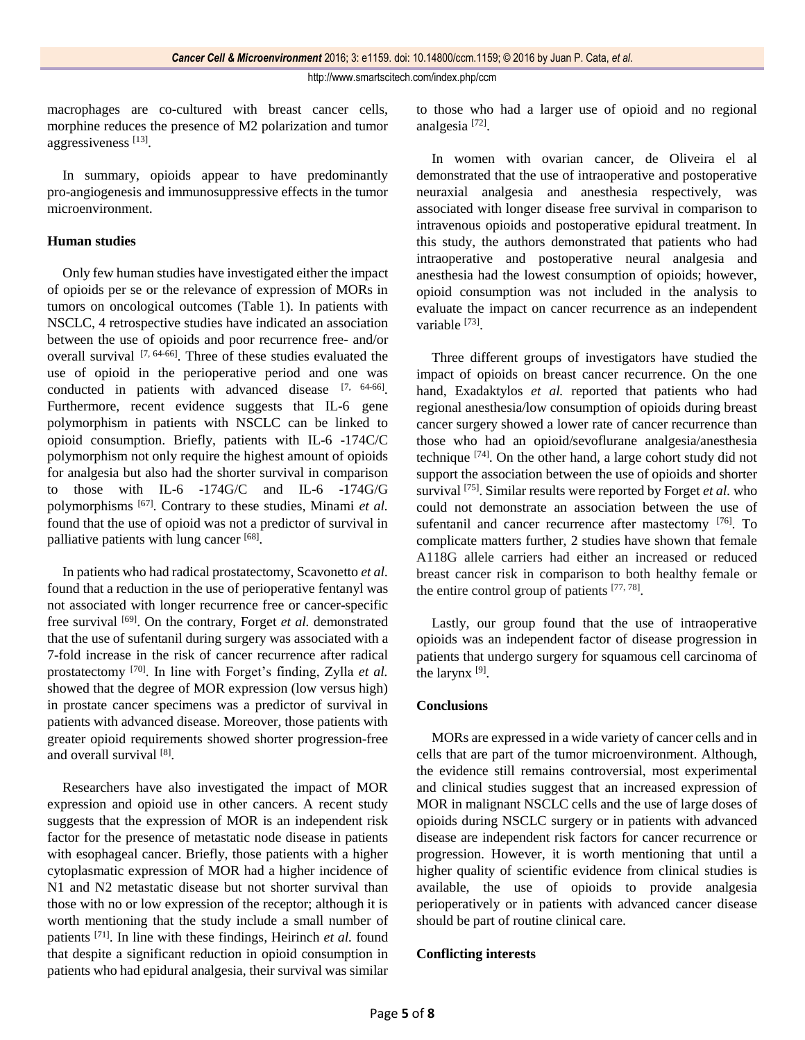macrophages are co-cultured with breast cancer cells, morphine reduces the presence of M2 polarization and tumor aggressiveness<sup>[13]</sup>.

In summary, opioids appear to have predominantly pro-angiogenesis and immunosuppressive effects in the tumor microenvironment.

## **Human studies**

Only few human studies have investigated either the impact of opioids per se or the relevance of expression of MORs in tumors on oncological outcomes (Table 1). In patients with NSCLC, 4 retrospective studies have indicated an association between the use of opioids and poor recurrence free- and/or overall survival  $[7, 64-66]$ . Three of these studies evaluated the use of opioid in the perioperative period and one was conducted in patients with advanced disease [7, 64-66]. Furthermore, recent evidence suggests that IL-6 gene polymorphism in patients with NSCLC can be linked to opioid consumption. Briefly, patients with IL-6 -174C/C polymorphism not only require the highest amount of opioids for analgesia but also had the shorter survival in comparison to those with IL-6 -174G/C and IL-6 -174G/G polymorphisms [67]. Contrary to these studies, Minami *et al.* found that the use of opioid was not a predictor of survival in palliative patients with lung cancer [68].

In patients who had radical prostatectomy, Scavonetto *et al.* found that a reduction in the use of perioperative fentanyl was not associated with longer recurrence free or cancer-specific free survival [69]. On the contrary, Forget *et al.* demonstrated that the use of sufentanil during surgery was associated with a 7-fold increase in the risk of cancer recurrence after radical prostatectomy [70]. In line with Forget's finding, Zylla *et al.* showed that the degree of MOR expression (low versus high) in prostate cancer specimens was a predictor of survival in patients with advanced disease. Moreover, those patients with greater opioid requirements showed shorter progression-free and overall survival [8].

Researchers have also investigated the impact of MOR expression and opioid use in other cancers. A recent study suggests that the expression of MOR is an independent risk factor for the presence of metastatic node disease in patients with esophageal cancer. Briefly, those patients with a higher cytoplasmatic expression of MOR had a higher incidence of N1 and N2 metastatic disease but not shorter survival than those with no or low expression of the receptor; although it is worth mentioning that the study include a small number of patients [71]. In line with these findings, Heirinch *et al.* found that despite a significant reduction in opioid consumption in patients who had epidural analgesia, their survival was similar

to those who had a larger use of opioid and no regional analgesia<sup>[72]</sup>.

In women with ovarian cancer, de Oliveira el al demonstrated that the use of intraoperative and postoperative neuraxial analgesia and anesthesia respectively, was associated with longer disease free survival in comparison to intravenous opioids and postoperative epidural treatment. In this study, the authors demonstrated that patients who had intraoperative and postoperative neural analgesia and anesthesia had the lowest consumption of opioids; however, opioid consumption was not included in the analysis to evaluate the impact on cancer recurrence as an independent variable [73].

Three different groups of investigators have studied the impact of opioids on breast cancer recurrence. On the one hand, Exadaktylos *et al.* reported that patients who had regional anesthesia/low consumption of opioids during breast cancer surgery showed a lower rate of cancer recurrence than those who had an opioid/sevoflurane analgesia/anesthesia technique [74]. On the other hand, a large cohort study did not support the association between the use of opioids and shorter survival <sup>[75]</sup>. Similar results were reported by Forget *et al.* who could not demonstrate an association between the use of sufentanil and cancer recurrence after mastectomy [76]. To complicate matters further, 2 studies have shown that female A118G allele carriers had either an increased or reduced breast cancer risk in comparison to both healthy female or the entire control group of patients  $[77, 78]$ .

Lastly, our group found that the use of intraoperative opioids was an independent factor of disease progression in patients that undergo surgery for squamous cell carcinoma of the larynx [9].

#### **Conclusions**

MORs are expressed in a wide variety of cancer cells and in cells that are part of the tumor microenvironment. Although, the evidence still remains controversial, most experimental and clinical studies suggest that an increased expression of MOR in malignant NSCLC cells and the use of large doses of opioids during NSCLC surgery or in patients with advanced disease are independent risk factors for cancer recurrence or progression. However, it is worth mentioning that until a higher quality of scientific evidence from clinical studies is available, the use of opioids to provide analgesia perioperatively or in patients with advanced cancer disease should be part of routine clinical care.

# **Conflicting interests**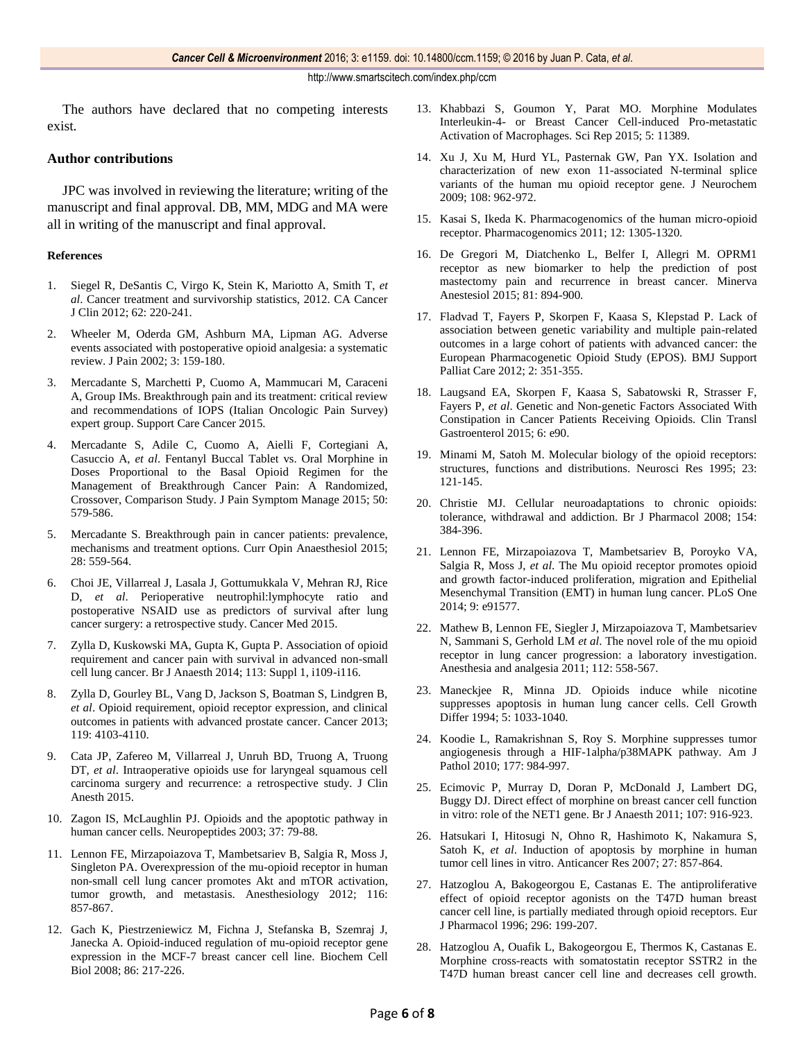The authors have declared that no competing interests exist.

#### **Author contributions**

JPC was involved in reviewing the literature; writing of the manuscript and final approval. DB, MM, MDG and MA were all in writing of the manuscript and final approval.

#### **References**

- 1. Siegel R, DeSantis C, Virgo K, Stein K, Mariotto A, Smith T, *et al*. Cancer treatment and survivorship statistics, 2012. CA Cancer J Clin 2012; 62: 220-241.
- 2. Wheeler M, Oderda GM, Ashburn MA, Lipman AG. Adverse events associated with postoperative opioid analgesia: a systematic review. J Pain 2002; 3: 159-180.
- 3. Mercadante S, Marchetti P, Cuomo A, Mammucari M, Caraceni A, Group IMs. Breakthrough pain and its treatment: critical review and recommendations of IOPS (Italian Oncologic Pain Survey) expert group. Support Care Cancer 2015.
- 4. Mercadante S, Adile C, Cuomo A, Aielli F, Cortegiani A, Casuccio A, *et al*. Fentanyl Buccal Tablet vs. Oral Morphine in Doses Proportional to the Basal Opioid Regimen for the Management of Breakthrough Cancer Pain: A Randomized, Crossover, Comparison Study. J Pain Symptom Manage 2015; 50: 579-586.
- 5. Mercadante S. Breakthrough pain in cancer patients: prevalence, mechanisms and treatment options. Curr Opin Anaesthesiol 2015; 28: 559-564.
- 6. Choi JE, Villarreal J, Lasala J, Gottumukkala V, Mehran RJ, Rice D, *et al*. Perioperative neutrophil:lymphocyte ratio and postoperative NSAID use as predictors of survival after lung cancer surgery: a retrospective study. Cancer Med 2015.
- 7. Zylla D, Kuskowski MA, Gupta K, Gupta P. Association of opioid requirement and cancer pain with survival in advanced non-small cell lung cancer. Br J Anaesth 2014; 113: Suppl 1, i109-i116.
- 8. Zylla D, Gourley BL, Vang D, Jackson S, Boatman S, Lindgren B, *et al*. Opioid requirement, opioid receptor expression, and clinical outcomes in patients with advanced prostate cancer. Cancer 2013; 119: 4103-4110.
- 9. Cata JP, Zafereo M, Villarreal J, Unruh BD, Truong A, Truong DT, *et al*. Intraoperative opioids use for laryngeal squamous cell carcinoma surgery and recurrence: a retrospective study. J Clin Anesth 2015.
- 10. Zagon IS, McLaughlin PJ. Opioids and the apoptotic pathway in human cancer cells. Neuropeptides 2003; 37: 79-88.
- 11. Lennon FE, Mirzapoiazova T, Mambetsariev B, Salgia R, Moss J, Singleton PA. Overexpression of the mu-opioid receptor in human non-small cell lung cancer promotes Akt and mTOR activation, tumor growth, and metastasis. Anesthesiology 2012; 116: 857-867.
- 12. Gach K, Piestrzeniewicz M, Fichna J, Stefanska B, Szemraj J, Janecka A. Opioid-induced regulation of mu-opioid receptor gene expression in the MCF-7 breast cancer cell line. Biochem Cell Biol 2008; 86: 217-226.
- 13. Khabbazi S, Goumon Y, Parat MO. Morphine Modulates Interleukin-4- or Breast Cancer Cell-induced Pro-metastatic Activation of Macrophages. Sci Rep 2015; 5: 11389.
- 14. Xu J, Xu M, Hurd YL, Pasternak GW, Pan YX. Isolation and characterization of new exon 11-associated N-terminal splice variants of the human mu opioid receptor gene. J Neurochem 2009; 108: 962-972.
- 15. Kasai S, Ikeda K. Pharmacogenomics of the human micro-opioid receptor. Pharmacogenomics 2011; 12: 1305-1320.
- 16. De Gregori M, Diatchenko L, Belfer I, Allegri M. OPRM1 receptor as new biomarker to help the prediction of post mastectomy pain and recurrence in breast cancer. Minerva Anestesiol 2015; 81: 894-900.
- 17. Fladvad T, Fayers P, Skorpen F, Kaasa S, Klepstad P. Lack of association between genetic variability and multiple pain-related outcomes in a large cohort of patients with advanced cancer: the European Pharmacogenetic Opioid Study (EPOS). BMJ Support Palliat Care 2012; 2: 351-355.
- 18. Laugsand EA, Skorpen F, Kaasa S, Sabatowski R, Strasser F, Fayers P, *et al*. Genetic and Non-genetic Factors Associated With Constipation in Cancer Patients Receiving Opioids. Clin Transl Gastroenterol 2015; 6: e90.
- 19. Minami M, Satoh M. Molecular biology of the opioid receptors: structures, functions and distributions. Neurosci Res 1995; 23: 121-145.
- 20. Christie MJ. Cellular neuroadaptations to chronic opioids: tolerance, withdrawal and addiction. Br J Pharmacol 2008; 154: 384-396.
- 21. Lennon FE, Mirzapoiazova T, Mambetsariev B, Poroyko VA, Salgia R, Moss J, *et al*. The Mu opioid receptor promotes opioid and growth factor-induced proliferation, migration and Epithelial Mesenchymal Transition (EMT) in human lung cancer. PLoS One 2014; 9: e91577.
- 22. Mathew B, Lennon FE, Siegler J, Mirzapoiazova T, Mambetsariev N, Sammani S, Gerhold LM *et al*. The novel role of the mu opioid receptor in lung cancer progression: a laboratory investigation. Anesthesia and analgesia 2011; 112: 558-567.
- 23. Maneckjee R, Minna JD. Opioids induce while nicotine suppresses apoptosis in human lung cancer cells. Cell Growth Differ 1994; 5: 1033-1040.
- 24. Koodie L, Ramakrishnan S, Roy S. Morphine suppresses tumor angiogenesis through a HIF-1alpha/p38MAPK pathway. Am J Pathol 2010; 177: 984-997.
- 25. Ecimovic P, Murray D, Doran P, McDonald J, Lambert DG, Buggy DJ. Direct effect of morphine on breast cancer cell function in vitro: role of the NET1 gene. Br J Anaesth 2011; 107: 916-923.
- 26. Hatsukari I, Hitosugi N, Ohno R, Hashimoto K, Nakamura S, Satoh K, *et al*. Induction of apoptosis by morphine in human tumor cell lines in vitro. Anticancer Res 2007; 27: 857-864.
- 27. Hatzoglou A, Bakogeorgou E, Castanas E. The antiproliferative effect of opioid receptor agonists on the T47D human breast cancer cell line, is partially mediated through opioid receptors. Eur J Pharmacol 1996; 296: 199-207.
- 28. Hatzoglou A, Ouafik L, Bakogeorgou E, Thermos K, Castanas E. Morphine cross-reacts with somatostatin receptor SSTR2 in the T47D human breast cancer cell line and decreases cell growth.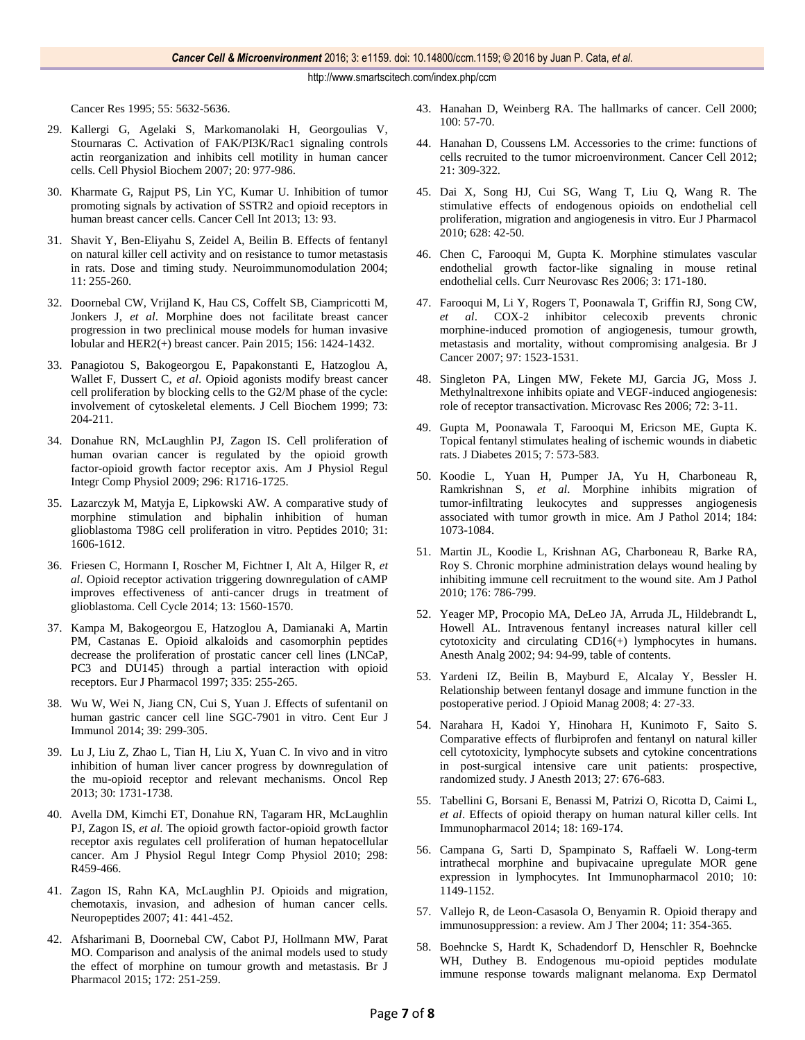Cancer Res 1995; 55: 5632-5636.

- 29. Kallergi G, Agelaki S, Markomanolaki H, Georgoulias V, Stournaras C. Activation of FAK/PI3K/Rac1 signaling controls actin reorganization and inhibits cell motility in human cancer cells. Cell Physiol Biochem 2007; 20: 977-986.
- 30. Kharmate G, Rajput PS, Lin YC, Kumar U. Inhibition of tumor promoting signals by activation of SSTR2 and opioid receptors in human breast cancer cells. Cancer Cell Int 2013; 13: 93.
- 31. Shavit Y, Ben-Eliyahu S, Zeidel A, Beilin B. Effects of fentanyl on natural killer cell activity and on resistance to tumor metastasis in rats. Dose and timing study. Neuroimmunomodulation 2004; 11: 255-260.
- 32. Doornebal CW, Vrijland K, Hau CS, Coffelt SB, Ciampricotti M, Jonkers J, *et al*. Morphine does not facilitate breast cancer progression in two preclinical mouse models for human invasive lobular and HER2(+) breast cancer. Pain 2015; 156: 1424-1432.
- 33. Panagiotou S, Bakogeorgou E, Papakonstanti E, Hatzoglou A, Wallet F, Dussert C, *et al*. Opioid agonists modify breast cancer cell proliferation by blocking cells to the G2/M phase of the cycle: involvement of cytoskeletal elements. J Cell Biochem 1999; 73: 204-211.
- 34. Donahue RN, McLaughlin PJ, Zagon IS. Cell proliferation of human ovarian cancer is regulated by the opioid growth factor-opioid growth factor receptor axis. Am J Physiol Regul Integr Comp Physiol 2009; 296: R1716-1725.
- 35. Lazarczyk M, Matyja E, Lipkowski AW. A comparative study of morphine stimulation and biphalin inhibition of human glioblastoma T98G cell proliferation in vitro. Peptides 2010; 31: 1606-1612.
- 36. Friesen C, Hormann I, Roscher M, Fichtner I, Alt A, Hilger R, *et al*. Opioid receptor activation triggering downregulation of cAMP improves effectiveness of anti-cancer drugs in treatment of glioblastoma. Cell Cycle 2014; 13: 1560-1570.
- 37. Kampa M, Bakogeorgou E, Hatzoglou A, Damianaki A, Martin PM, Castanas E. Opioid alkaloids and casomorphin peptides decrease the proliferation of prostatic cancer cell lines (LNCaP, PC3 and DU145) through a partial interaction with opioid receptors. Eur J Pharmacol 1997; 335: 255-265.
- 38. Wu W, Wei N, Jiang CN, Cui S, Yuan J. Effects of sufentanil on human gastric cancer cell line SGC-7901 in vitro. Cent Eur J Immunol 2014; 39: 299-305.
- 39. Lu J, Liu Z, Zhao L, Tian H, Liu X, Yuan C. In vivo and in vitro inhibition of human liver cancer progress by downregulation of the mu-opioid receptor and relevant mechanisms. Oncol Rep 2013; 30: 1731-1738.
- 40. Avella DM, Kimchi ET, Donahue RN, Tagaram HR, McLaughlin PJ, Zagon IS, *et al*. The opioid growth factor-opioid growth factor receptor axis regulates cell proliferation of human hepatocellular cancer. Am J Physiol Regul Integr Comp Physiol 2010; 298: R459-466.
- 41. Zagon IS, Rahn KA, McLaughlin PJ. Opioids and migration, chemotaxis, invasion, and adhesion of human cancer cells. Neuropeptides 2007; 41: 441-452.
- 42. Afsharimani B, Doornebal CW, Cabot PJ, Hollmann MW, Parat MO. Comparison and analysis of the animal models used to study the effect of morphine on tumour growth and metastasis. Br J Pharmacol 2015; 172: 251-259.
- 43. Hanahan D, Weinberg RA. The hallmarks of cancer. Cell 2000; 100: 57-70.
- 44. Hanahan D, Coussens LM. Accessories to the crime: functions of cells recruited to the tumor microenvironment. Cancer Cell 2012; 21: 309-322.
- 45. Dai X, Song HJ, Cui SG, Wang T, Liu Q, Wang R. The stimulative effects of endogenous opioids on endothelial cell proliferation, migration and angiogenesis in vitro. Eur J Pharmacol 2010; 628: 42-50.
- 46. Chen C, Farooqui M, Gupta K. Morphine stimulates vascular endothelial growth factor-like signaling in mouse retinal endothelial cells. Curr Neurovasc Res 2006; 3: 171-180.
- 47. Farooqui M, Li Y, Rogers T, Poonawala T, Griffin RJ, Song CW, *et al*. COX-2 inhibitor celecoxib prevents chronic morphine-induced promotion of angiogenesis, tumour growth, metastasis and mortality, without compromising analgesia. Br J Cancer 2007; 97: 1523-1531.
- 48. Singleton PA, Lingen MW, Fekete MJ, Garcia JG, Moss J. Methylnaltrexone inhibits opiate and VEGF-induced angiogenesis: role of receptor transactivation. Microvasc Res 2006; 72: 3-11.
- 49. Gupta M, Poonawala T, Farooqui M, Ericson ME, Gupta K. Topical fentanyl stimulates healing of ischemic wounds in diabetic rats. J Diabetes 2015; 7: 573-583.
- 50. Koodie L, Yuan H, Pumper JA, Yu H, Charboneau R, Ramkrishnan S, *et al*. Morphine inhibits migration of tumor-infiltrating leukocytes and suppresses angiogenesis associated with tumor growth in mice. Am J Pathol 2014; 184: 1073-1084.
- 51. Martin JL, Koodie L, Krishnan AG, Charboneau R, Barke RA, Roy S. Chronic morphine administration delays wound healing by inhibiting immune cell recruitment to the wound site. Am J Pathol 2010; 176: 786-799.
- 52. Yeager MP, Procopio MA, DeLeo JA, Arruda JL, Hildebrandt L, Howell AL. Intravenous fentanyl increases natural killer cell cytotoxicity and circulating CD16(+) lymphocytes in humans. Anesth Analg 2002; 94: 94-99, table of contents.
- 53. Yardeni IZ, Beilin B, Mayburd E, Alcalay Y, Bessler H. Relationship between fentanyl dosage and immune function in the postoperative period. J Opioid Manag 2008; 4: 27-33.
- 54. Narahara H, Kadoi Y, Hinohara H, Kunimoto F, Saito S. Comparative effects of flurbiprofen and fentanyl on natural killer cell cytotoxicity, lymphocyte subsets and cytokine concentrations in post-surgical intensive care unit patients: prospective, randomized study. J Anesth 2013; 27: 676-683.
- 55. Tabellini G, Borsani E, Benassi M, Patrizi O, Ricotta D, Caimi L, *et al*. Effects of opioid therapy on human natural killer cells. Int Immunopharmacol 2014; 18: 169-174.
- 56. Campana G, Sarti D, Spampinato S, Raffaeli W. Long-term intrathecal morphine and bupivacaine upregulate MOR gene expression in lymphocytes. Int Immunopharmacol 2010; 10: 1149-1152.
- 57. Vallejo R, de Leon-Casasola O, Benyamin R. Opioid therapy and immunosuppression: a review. Am J Ther 2004; 11: 354-365.
- 58. Boehncke S, Hardt K, Schadendorf D, Henschler R, Boehncke WH, Duthey B. Endogenous mu-opioid peptides modulate immune response towards malignant melanoma. Exp Dermatol